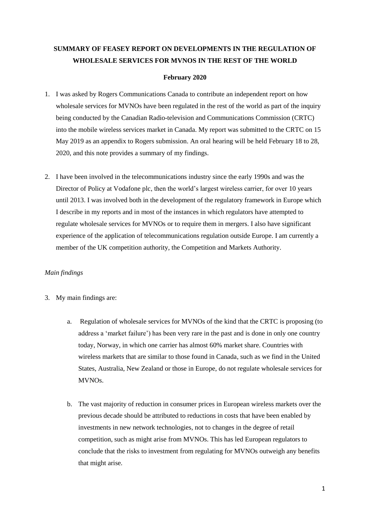# **SUMMARY OF FEASEY REPORT ON DEVELOPMENTS IN THE REGULATION OF WHOLESALE SERVICES FOR MVNOS IN THE REST OF THE WORLD**

#### **February 2020**

- 1. I was asked by Rogers Communications Canada to contribute an independent report on how wholesale services for MVNOs have been regulated in the rest of the world as part of the inquiry being conducted by the Canadian Radio-television and Communications Commission (CRTC) into the mobile wireless services market in Canada. My report was submitted to the CRTC on 15 May 2019 as an appendix to Rogers submission. An oral hearing will be held February 18 to 28, 2020, and this note provides a summary of my findings.
- 2. I have been involved in the telecommunications industry since the early 1990s and was the Director of Policy at Vodafone plc, then the world's largest wireless carrier, for over 10 years until 2013. I was involved both in the development of the regulatory framework in Europe which I describe in my reports and in most of the instances in which regulators have attempted to regulate wholesale services for MVNOs or to require them in mergers. I also have significant experience of the application of telecommunications regulation outside Europe. I am currently a member of the UK competition authority, the Competition and Markets Authority.

#### *Main findings*

- 3. My main findings are:
	- a. Regulation of wholesale services for MVNOs of the kind that the CRTC is proposing (to address a 'market failure') has been very rare in the past and is done in only one country today, Norway, in which one carrier has almost 60% market share. Countries with wireless markets that are similar to those found in Canada, such as we find in the United States, Australia, New Zealand or those in Europe, do not regulate wholesale services for MVNOs.
	- b. The vast majority of reduction in consumer prices in European wireless markets over the previous decade should be attributed to reductions in costs that have been enabled by investments in new network technologies, not to changes in the degree of retail competition, such as might arise from MVNOs. This has led European regulators to conclude that the risks to investment from regulating for MVNOs outweigh any benefits that might arise.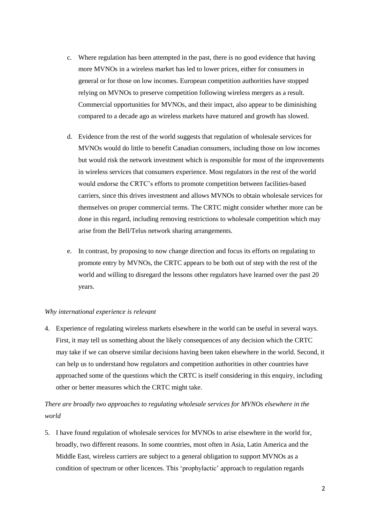- c. Where regulation has been attempted in the past, there is no good evidence that having more MVNOs in a wireless market has led to lower prices, either for consumers in general or for those on low incomes. European competition authorities have stopped relying on MVNOs to preserve competition following wireless mergers as a result. Commercial opportunities for MVNOs, and their impact, also appear to be diminishing compared to a decade ago as wireless markets have matured and growth has slowed.
- d. Evidence from the rest of the world suggests that regulation of wholesale services for MVNOs would do little to benefit Canadian consumers, including those on low incomes but would risk the network investment which is responsible for most of the improvements in wireless services that consumers experience. Most regulators in the rest of the world would endorse the CRTC's efforts to promote competition between facilities-based carriers, since this drives investment and allows MVNOs to obtain wholesale services for themselves on proper commercial terms. The CRTC might consider whether more can be done in this regard, including removing restrictions to wholesale competition which may arise from the Bell/Telus network sharing arrangements.
- e. In contrast, by proposing to now change direction and focus its efforts on regulating to promote entry by MVNOs, the CRTC appears to be both out of step with the rest of the world and willing to disregard the lessons other regulators have learned over the past 20 years.

#### *Why international experience is relevant*

4. Experience of regulating wireless markets elsewhere in the world can be useful in several ways. First, it may tell us something about the likely consequences of any decision which the CRTC may take if we can observe similar decisions having been taken elsewhere in the world. Second, it can help us to understand how regulators and competition authorities in other countries have approached some of the questions which the CRTC is itself considering in this enquiry, including other or better measures which the CRTC might take.

*There are broadly two approaches to regulating wholesale services for MVNOs elsewhere in the world*

5. I have found regulation of wholesale services for MVNOs to arise elsewhere in the world for, broadly, two different reasons. In some countries, most often in Asia, Latin America and the Middle East, wireless carriers are subject to a general obligation to support MVNOs as a condition of spectrum or other licences. This 'prophylactic' approach to regulation regards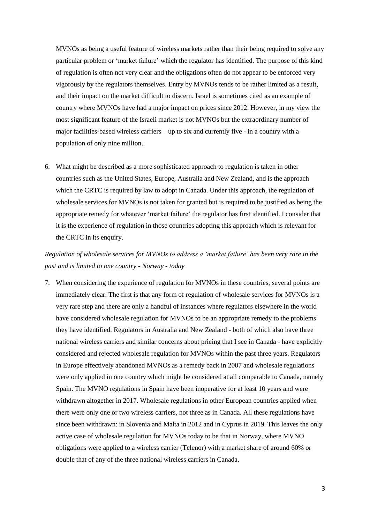MVNOs as being a useful feature of wireless markets rather than their being required to solve any particular problem or 'market failure' which the regulator has identified. The purpose of this kind of regulation is often not very clear and the obligations often do not appear to be enforced very vigorously by the regulators themselves. Entry by MVNOs tends to be rather limited as a result, and their impact on the market difficult to discern. Israel is sometimes cited as an example of country where MVNOs have had a major impact on prices since 2012. However, in my view the most significant feature of the Israeli market is not MVNOs but the extraordinary number of major facilities-based wireless carriers – up to six and currently five - in a country with a population of only nine million.

6. What might be described as a more sophisticated approach to regulation is taken in other countries such as the United States, Europe, Australia and New Zealand, and is the approach which the CRTC is required by law to adopt in Canada. Under this approach, the regulation of wholesale services for MVNOs is not taken for granted but is required to be justified as being the appropriate remedy for whatever 'market failure' the regulator has first identified. I consider that it is the experience of regulation in those countries adopting this approach which is relevant for the CRTC in its enquiry.

## *Regulation of wholesale services for MVNOs to address a 'market failure' has been very rare in the past and is limited to one country - Norway - today*

7. When considering the experience of regulation for MVNOs in these countries, several points are immediately clear. The first is that any form of regulation of wholesale services for MVNOs is a very rare step and there are only a handful of instances where regulators elsewhere in the world have considered wholesale regulation for MVNOs to be an appropriate remedy to the problems they have identified. Regulators in Australia and New Zealand - both of which also have three national wireless carriers and similar concerns about pricing that I see in Canada - have explicitly considered and rejected wholesale regulation for MVNOs within the past three years. Regulators in Europe effectively abandoned MVNOs as a remedy back in 2007 and wholesale regulations were only applied in one country which might be considered at all comparable to Canada, namely Spain. The MVNO regulations in Spain have been inoperative for at least 10 years and were withdrawn altogether in 2017. Wholesale regulations in other European countries applied when there were only one or two wireless carriers, not three as in Canada. All these regulations have since been withdrawn: in Slovenia and Malta in 2012 and in Cyprus in 2019. This leaves the only active case of wholesale regulation for MVNOs today to be that in Norway, where MVNO obligations were applied to a wireless carrier (Telenor) with a market share of around 60% or double that of any of the three national wireless carriers in Canada.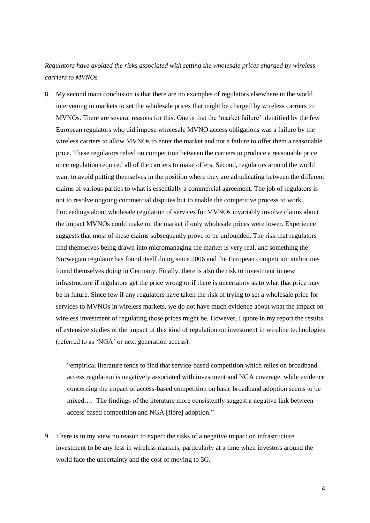### *Regulators have avoided the risks associated with setting the wholesale prices charged by wireless carriers to MVNOs*

8. My second main conclusion is that there are no examples of regulators elsewhere in the world intervening in markets to set the wholesale prices that might be charged by wireless carriers to MVNOs. There are several reasons for this. One is that the 'market failure' identified by the few European regulators who did impose wholesale MVNO access obligations was a failure by the wireless carriers to allow MVNOs to enter the market and not a failure to offer them a reasonable price. These regulators relied on competition between the carriers to produce a reasonable price once regulation required all of the carriers to make offers. Second, regulators around the world want to avoid putting themselves in the position where they are adjudicating between the different claims of various parties to what is essentially a commercial agreement. The job of regulators is not to resolve ongoing commercial disputes but to enable the competitive process to work. Proceedings about wholesale regulation of services for MVNOs invariably involve claims about the impact MVNOs could make on the market if only wholesale prices were lower. Experience suggests that most of these claims subsequently prove to be unfounded. The risk that regulators find themselves being drawn into micromanaging the market is very real, and something the Norwegian regulator has found itself doing since 2006 and the European competition authorities found themselves doing in Germany. Finally, there is also the risk to investment in new infrastructure if regulators get the price wrong or if there is uncertainty as to what that price may be in future. Since few if any regulators have taken the risk of trying to set a wholesale price for services to MVNOs in wireless markets, we do not have much evidence about what the impact on wireless investment of regulating those prices might be. However, I quote in my report the results of extensive studies of the impact of this kind of regulation on investment in wireline technologies (referred to as 'NGA' or next generation access):

"empirical literature tends to find that service-based competition which relies on broadband access regulation is negatively associated with investment and NGA coverage, while evidence concerning the impact of access-based competition on basic broadband adoption seems to be mixed…. The findings of the literature more consistently suggest a negative link between access based competition and NGA [fibre] adoption."

9. There is in my view no reason to expect the risks of a negative impact on infrastructure investment to be any less in wireless markets, particularly at a time when investors around the world face the uncertainty and the cost of moving to 5G.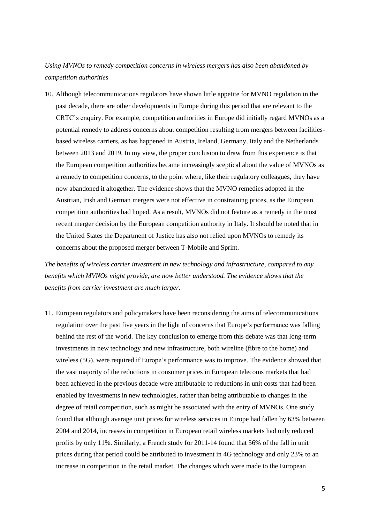### *Using MVNOs to remedy competition concerns in wireless mergers has also been abandoned by competition authorities*

10. Although telecommunications regulators have shown little appetite for MVNO regulation in the past decade, there are other developments in Europe during this period that are relevant to the CRTC's enquiry. For example, competition authorities in Europe did initially regard MVNOs as a potential remedy to address concerns about competition resulting from mergers between facilitiesbased wireless carriers, as has happened in Austria, Ireland, Germany, Italy and the Netherlands between 2013 and 2019. In my view, the proper conclusion to draw from this experience is that the European competition authorities became increasingly sceptical about the value of MVNOs as a remedy to competition concerns, to the point where, like their regulatory colleagues, they have now abandoned it altogether. The evidence shows that the MVNO remedies adopted in the Austrian, Irish and German mergers were not effective in constraining prices, as the European competition authorities had hoped. As a result, MVNOs did not feature as a remedy in the most recent merger decision by the European competition authority in Italy. It should be noted that in the United States the Department of Justice has also not relied upon MVNOs to remedy its concerns about the proposed merger between T-Mobile and Sprint.

*The benefits of wireless carrier investment in new technology and infrastructure, compared to any benefits which MVNOs might provide, are now better understood. The evidence shows that the benefits from carrier investment are much larger.*

11. European regulators and policymakers have been reconsidering the aims of telecommunications regulation over the past five years in the light of concerns that Europe's performance was falling behind the rest of the world. The key conclusion to emerge from this debate was that long-term investments in new technology and new infrastructure, both wireline (fibre to the home) and wireless (5G), were required if Europe's performance was to improve. The evidence showed that the vast majority of the reductions in consumer prices in European telecoms markets that had been achieved in the previous decade were attributable to reductions in unit costs that had been enabled by investments in new technologies, rather than being attributable to changes in the degree of retail competition, such as might be associated with the entry of MVNOs. One study found that although average unit prices for wireless services in Europe had fallen by 63% between 2004 and 2014, increases in competition in European retail wireless markets had only reduced profits by only 11%. Similarly, a French study for 2011-14 found that 56% of the fall in unit prices during that period could be attributed to investment in 4G technology and only 23% to an increase in competition in the retail market. The changes which were made to the European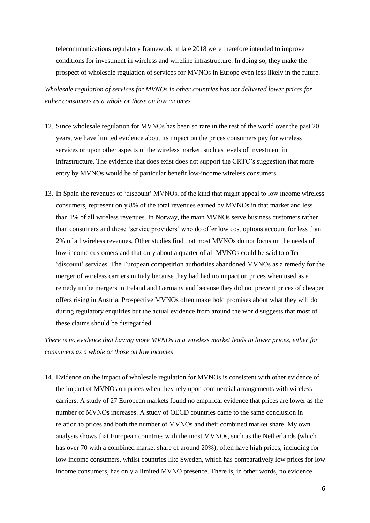telecommunications regulatory framework in late 2018 were therefore intended to improve conditions for investment in wireless and wireline infrastructure. In doing so, they make the prospect of wholesale regulation of services for MVNOs in Europe even less likely in the future.

*Wholesale regulation of services for MVNOs in other countries has not delivered lower prices for either consumers as a whole or those on low incomes*

- 12. Since wholesale regulation for MVNOs has been so rare in the rest of the world over the past 20 years, we have limited evidence about its impact on the prices consumers pay for wireless services or upon other aspects of the wireless market, such as levels of investment in infrastructure. The evidence that does exist does not support the CRTC's suggestion that more entry by MVNOs would be of particular benefit low-income wireless consumers.
- 13. In Spain the revenues of 'discount' MVNOs, of the kind that might appeal to low income wireless consumers, represent only 8% of the total revenues earned by MVNOs in that market and less than 1% of all wireless revenues. In Norway, the main MVNOs serve business customers rather than consumers and those 'service providers' who do offer low cost options account for less than 2% of all wireless revenues. Other studies find that most MVNOs do not focus on the needs of low-income customers and that only about a quarter of all MVNOs could be said to offer 'discount' services. The European competition authorities abandoned MVNOs as a remedy for the merger of wireless carriers in Italy because they had had no impact on prices when used as a remedy in the mergers in Ireland and Germany and because they did not prevent prices of cheaper offers rising in Austria. Prospective MVNOs often make bold promises about what they will do during regulatory enquiries but the actual evidence from around the world suggests that most of these claims should be disregarded.

*There is no evidence that having more MVNOs in a wireless market leads to lower prices, either for consumers as a whole or those on low incomes*

14. Evidence on the impact of wholesale regulation for MVNOs is consistent with other evidence of the impact of MVNOs on prices when they rely upon commercial arrangements with wireless carriers. A study of 27 European markets found no empirical evidence that prices are lower as the number of MVNOs increases. A study of OECD countries came to the same conclusion in relation to prices and both the number of MVNOs and their combined market share. My own analysis shows that European countries with the most MVNOs, such as the Netherlands (which has over 70 with a combined market share of around 20%), often have high prices, including for low-income consumers, whilst countries like Sweden, which has comparatively low prices for low income consumers, has only a limited MVNO presence. There is, in other words, no evidence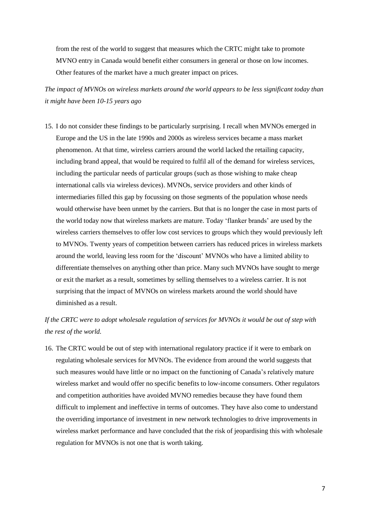from the rest of the world to suggest that measures which the CRTC might take to promote MVNO entry in Canada would benefit either consumers in general or those on low incomes. Other features of the market have a much greater impact on prices.

*The impact of MVNOs on wireless markets around the world appears to be less significant today than it might have been 10-15 years ago*

15. I do not consider these findings to be particularly surprising. I recall when MVNOs emerged in Europe and the US in the late 1990s and 2000s as wireless services became a mass market phenomenon. At that time, wireless carriers around the world lacked the retailing capacity, including brand appeal, that would be required to fulfil all of the demand for wireless services, including the particular needs of particular groups (such as those wishing to make cheap international calls via wireless devices). MVNOs, service providers and other kinds of intermediaries filled this gap by focussing on those segments of the population whose needs would otherwise have been unmet by the carriers. But that is no longer the case in most parts of the world today now that wireless markets are mature. Today 'flanker brands' are used by the wireless carriers themselves to offer low cost services to groups which they would previously left to MVNOs. Twenty years of competition between carriers has reduced prices in wireless markets around the world, leaving less room for the 'discount' MVNOs who have a limited ability to differentiate themselves on anything other than price. Many such MVNOs have sought to merge or exit the market as a result, sometimes by selling themselves to a wireless carrier. It is not surprising that the impact of MVNOs on wireless markets around the world should have diminished as a result.

*If the CRTC were to adopt wholesale regulation of services for MVNOs it would be out of step with the rest of the world.* 

16. The CRTC would be out of step with international regulatory practice if it were to embark on regulating wholesale services for MVNOs. The evidence from around the world suggests that such measures would have little or no impact on the functioning of Canada's relatively mature wireless market and would offer no specific benefits to low-income consumers. Other regulators and competition authorities have avoided MVNO remedies because they have found them difficult to implement and ineffective in terms of outcomes. They have also come to understand the overriding importance of investment in new network technologies to drive improvements in wireless market performance and have concluded that the risk of jeopardising this with wholesale regulation for MVNOs is not one that is worth taking.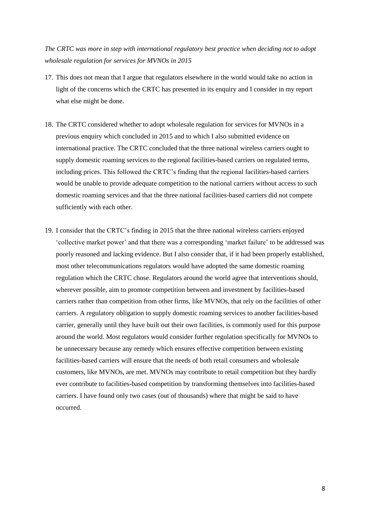*The CRTC was more in step with international regulatory best practice when deciding not to adopt wholesale regulation for services for MVNOs in 2015*

- 17. This does not mean that I argue that regulators elsewhere in the world would take no action in light of the concerns which the CRTC has presented in its enquiry and I consider in my report what else might be done.
- 18. The CRTC considered whether to adopt wholesale regulation for services for MVNOs in a previous enquiry which concluded in 2015 and to which I also submitted evidence on international practice. The CRTC concluded that the three national wireless carriers ought to supply domestic roaming services to the regional facilities-based carriers on regulated terms, including prices. This followed the CRTC's finding that the regional facilities-based carriers would be unable to provide adequate competition to the national carriers without access to such domestic roaming services and that the three national facilities-based carriers did not compete sufficiently with each other.
- 19. I consider that the CRTC's finding in 2015 that the three national wireless carriers enjoyed 'collective market power' and that there was a corresponding 'market failure' to be addressed was poorly reasoned and lacking evidence. But I also consider that, if it had been properly established, most other telecommunications regulators would have adopted the same domestic roaming regulation which the CRTC chose. Regulators around the world agree that interventions should, wherever possible, aim to promote competition between and investment by facilities-based carriers rather than competition from other firms, like MVNOs, that rely on the facilities of other carriers. A regulatory obligation to supply domestic roaming services to another facilities-based carrier, generally until they have built out their own facilities, is commonly used for this purpose around the world. Most regulators would consider further regulation specifically for MVNOs to be unnecessary because any remedy which ensures effective competition between existing facilities-based carriers will ensure that the needs of both retail consumers and wholesale customers, like MVNOs, are met. MVNOs may contribute to retail competition but they hardly ever contribute to facilities-based competition by transforming themselves into facilities-based carriers. I have found only two cases (out of thousands) where that might be said to have occurred.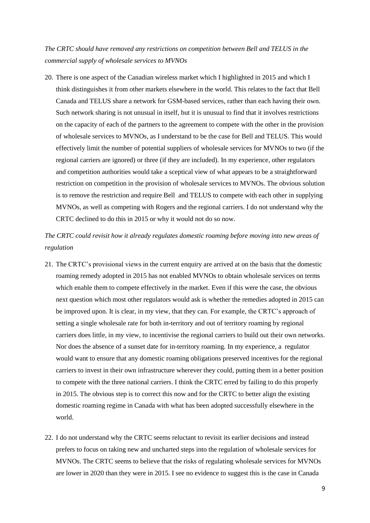*The CRTC should have removed any restrictions on competition between Bell and TELUS in the commercial supply of wholesale services to MVNOs*

20. There is one aspect of the Canadian wireless market which I highlighted in 2015 and which I think distinguishes it from other markets elsewhere in the world. This relates to the fact that Bell Canada and TELUS share a network for GSM-based services, rather than each having their own. Such network sharing is not unusual in itself, but it is unusual to find that it involves restrictions on the capacity of each of the partners to the agreement to compete with the other in the provision of wholesale services to MVNOs, as I understand to be the case for Bell and TELUS. This would effectively limit the number of potential suppliers of wholesale services for MVNOs to two (if the regional carriers are ignored) or three (if they are included). In my experience, other regulators and competition authorities would take a sceptical view of what appears to be a straightforward restriction on competition in the provision of wholesale services to MVNOs. The obvious solution is to remove the restriction and require Bell and TELUS to compete with each other in supplying MVNOs, as well as competing with Rogers and the regional carriers. I do not understand why the CRTC declined to do this in 2015 or why it would not do so now.

## *The CRTC could revisit how it already regulates domestic roaming before moving into new areas of regulation*

- 21. The CRTC's provisional views in the current enquiry are arrived at on the basis that the domestic roaming remedy adopted in 2015 has not enabled MVNOs to obtain wholesale services on terms which enable them to compete effectively in the market. Even if this were the case, the obvious next question which most other regulators would ask is whether the remedies adopted in 2015 can be improved upon. It is clear, in my view, that they can. For example, the CRTC's approach of setting a single wholesale rate for both in-territory and out of territory roaming by regional carriers does little, in my view, to incentivise the regional carriers to build out their own networks. Nor does the absence of a sunset date for in-territory roaming. In my experience, a regulator would want to ensure that any domestic roaming obligations preserved incentives for the regional carriers to invest in their own infrastructure wherever they could, putting them in a better position to compete with the three national carriers. I think the CRTC erred by failing to do this properly in 2015. The obvious step is to correct this now and for the CRTC to better align the existing domestic roaming regime in Canada with what has been adopted successfully elsewhere in the world.
- 22. I do not understand why the CRTC seems reluctant to revisit its earlier decisions and instead prefers to focus on taking new and uncharted steps into the regulation of wholesale services for MVNOs. The CRTC seems to believe that the risks of regulating wholesale services for MVNOs are lower in 2020 than they were in 2015. I see no evidence to suggest this is the case in Canada